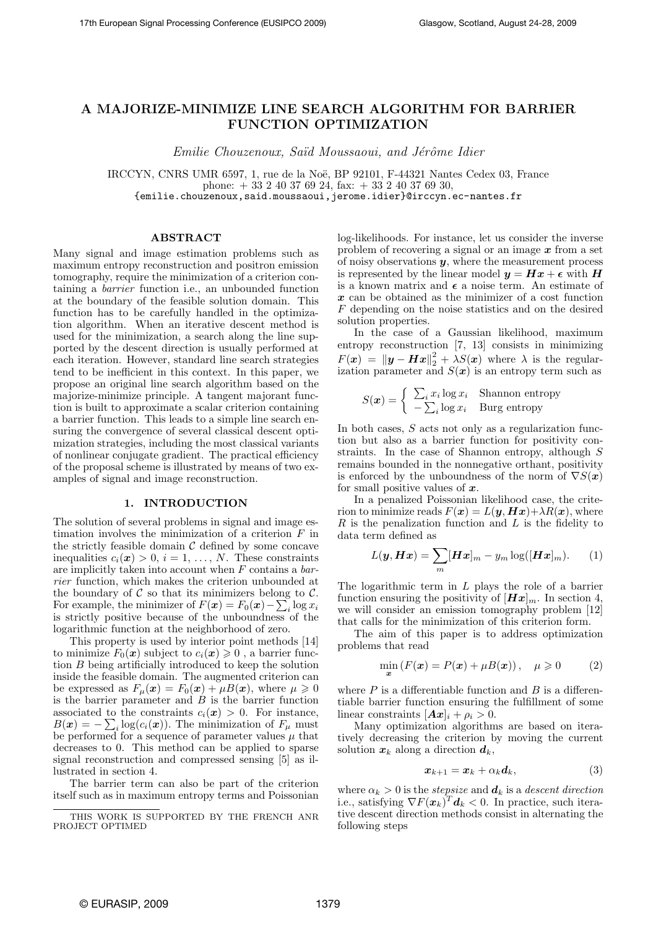# A MAJORIZE-MINIMIZE LINE SEARCH ALGORITHM FOR BARRIER FUNCTION OPTIMIZATION

Emilie Chouzenoux, Saïd Moussaoui, and Jérôme Idier

IRCCYN, CNRS UMR 6597, 1, rue de la Noë, BP 92101, F-44321 Nantes Cedex 03, France phone:  $+ 33240376924$ , fax:  $+ 33240376930$ , {emilie.chouzenoux,said.moussaoui,jerome.idier}@irccyn.ec-nantes.fr

# ABSTRACT

Many signal and image estimation problems such as maximum entropy reconstruction and positron emission tomography, require the minimization of a criterion containing a barrier function i.e., an unbounded function at the boundary of the feasible solution domain. This function has to be carefully handled in the optimization algorithm. When an iterative descent method is used for the minimization, a search along the line supported by the descent direction is usually performed at each iteration. However, standard line search strategies tend to be inefficient in this context. In this paper, we propose an original line search algorithm based on the majorize-minimize principle. A tangent majorant function is built to approximate a scalar criterion containing a barrier function. This leads to a simple line search ensuring the convergence of several classical descent optimization strategies, including the most classical variants of nonlinear conjugate gradient. The practical efficiency of the proposal scheme is illustrated by means of two examples of signal and image reconstruction.

# 1. INTRODUCTION

The solution of several problems in signal and image estimation involves the minimization of a criterion  $F$  in the strictly feasible domain  $C$  defined by some concave inequalities  $c_i(\mathbf{x}) > 0, i = 1, ..., N$ . These constraints are implicitly taken into account when  $F$  contains a  $bar$ rier function, which makes the criterion unbounded at the boundary of  $C$  so that its minimizers belong to  $C$ . For example, the minimizer of  $F(\mathbf{x}) = F_0(\mathbf{x}) - \sum_i \log x_i$ is strictly positive because of the unboundness of the logarithmic function at the neighborhood of zero.

This property is used by interior point methods [14] to minimize  $F_0(x)$  subject to  $c_i(x) \geq 0$ , a barrier function B being artificially introduced to keep the solution inside the feasible domain. The augmented criterion can be expressed as  $F_{\mu}(\boldsymbol{x}) = F_0(\boldsymbol{x}) + \mu B(\boldsymbol{x})$ , where  $\mu \geq 0$ is the barrier parameter and  $B$  is the barrier function associated to the constraints  $c_i(\mathbf{x}) > 0$ . For instance,  $B(\boldsymbol{x}) = -\sum_i \log(c_i(\boldsymbol{x}))$ . The minimization of  $F_\mu$  must be performed for a sequence of parameter values  $\mu$  that decreases to 0. This method can be applied to sparse signal reconstruction and compressed sensing [5] as illustrated in section 4.

The barrier term can also be part of the criterion itself such as in maximum entropy terms and Poissonian log-likelihoods. For instance, let us consider the inverse problem of recovering a signal or an image  $x$  from a set of noisy observations  $y$ , where the measurement process is represented by the linear model  $y = Hx + \epsilon$  with H is a known matrix and  $\epsilon$  a noise term. An estimate of  $x$  can be obtained as the minimizer of a cost function F depending on the noise statistics and on the desired solution properties.

In the case of a Gaussian likelihood, maximum entropy reconstruction [7, 13] consists in minimizing  $F(x) = ||y - Hx||_2^2 + \lambda S(x)$  where  $\lambda$  is the regularization parameter and  $S(x)$  is an entropy term such as

$$
S(\boldsymbol{x}) = \begin{cases} \sum_{i} x_i \log x_i & \text{Shannon entropy} \\ -\sum_{i} \log x_i & \text{Burg entropy} \end{cases}
$$

In both cases, S acts not only as a regularization function but also as a barrier function for positivity constraints. In the case of Shannon entropy, although S remains bounded in the nonnegative orthant, positivity is enforced by the unboundness of the norm of  $\nabla S(\boldsymbol{x})$ for small positive values of  $x$ .

In a penalized Poissonian likelihood case, the criterion to minimize reads  $F(x) = L(y, Hx) + \lambda R(x)$ , where  $R$  is the penalization function and  $L$  is the fidelity to data term defined as

$$
L(\boldsymbol{y}, \boldsymbol{H}\boldsymbol{x}) = \sum_{m} [\boldsymbol{H}\boldsymbol{x}]_m - y_m \log([\boldsymbol{H}\boldsymbol{x}]_m). \qquad (1)
$$

The logarithmic term in  $L$  plays the role of a barrier function ensuring the positivity of  $[Hx]_m$ . In section 4, we will consider an emission tomography problem [12] that calls for the minimization of this criterion form.

The aim of this paper is to address optimization problems that read

$$
\min_{\mathbf{x}} \left( F(\mathbf{x}) = P(\mathbf{x}) + \mu B(\mathbf{x}) \right), \quad \mu \geq 0 \tag{2}
$$

where  $P$  is a differentiable function and  $B$  is a differentiable barrier function ensuring the fulfillment of some linear constraints  $[\mathbf{A}\boldsymbol{x}]_i + \rho_i > 0$ .

Many optimization algorithms are based on iteratively decreasing the criterion by moving the current solution  $x_k$  along a direction  $d_k$ ,

$$
x_{k+1} = x_k + \alpha_k d_k, \qquad (3)
$$

where  $\alpha_k > 0$  is the *stepsize* and  $\boldsymbol{d}_k$  is a *descent direction* i.e., satisfying  $\nabla F(\boldsymbol{x}_k)^T \boldsymbol{d}_k < 0$ . In practice, such iterative descent direction methods consist in alternating the following steps

THIS WORK IS SUPPORTED BY THE FRENCH ANR PROJECT OPTIMED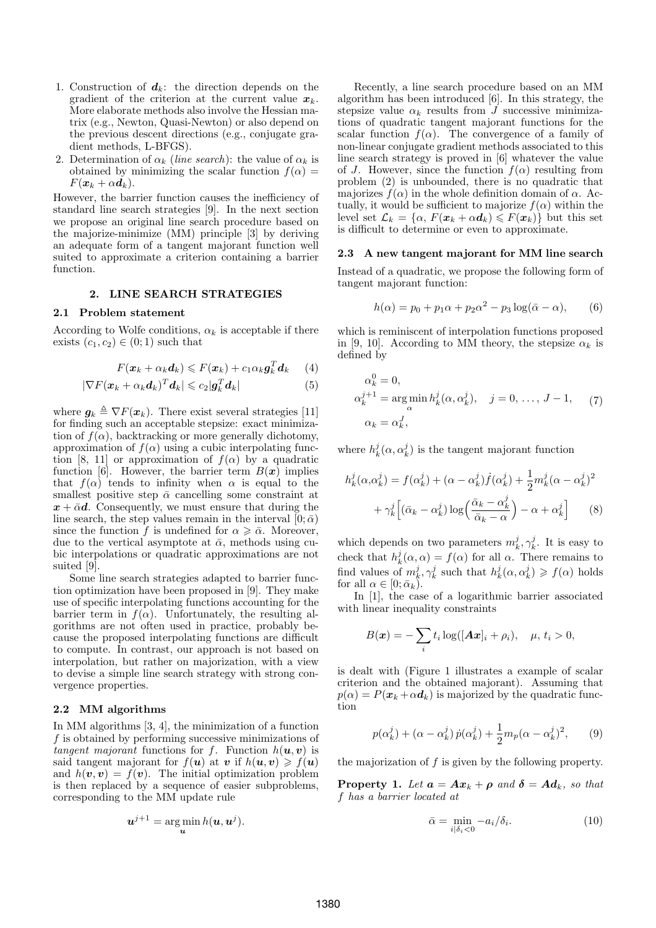- 1. Construction of  $d_k$ : the direction depends on the gradient of the criterion at the current value  $x_k$ . More elaborate methods also involve the Hessian matrix (e.g., Newton, Quasi-Newton) or also depend on the previous descent directions (e.g., conjugate gradient methods, L-BFGS).
- 2. Determination of  $\alpha_k$  (line search): the value of  $\alpha_k$  is obtained by minimizing the scalar function  $f(\alpha) =$  $F(\boldsymbol{x}_k + \alpha \boldsymbol{d}_k).$

However, the barrier function causes the inefficiency of standard line search strategies [9]. In the next section we propose an original line search procedure based on the majorize-minimize (MM) principle [3] by deriving an adequate form of a tangent majorant function well suited to approximate a criterion containing a barrier function.

# 2. LINE SEARCH STRATEGIES

### 2.1 Problem statement

According to Wolfe conditions,  $\alpha_k$  is acceptable if there exists  $(c_1, c_2) \in (0, 1)$  such that

$$
F(\boldsymbol{x}_k + \alpha_k \boldsymbol{d}_k) \leqslant F(\boldsymbol{x}_k) + c_1 \alpha_k \boldsymbol{g}_k^T \boldsymbol{d}_k \qquad (4)
$$

$$
|\nabla F(\boldsymbol{x}_k + \alpha_k \boldsymbol{d}_k)^T \boldsymbol{d}_k| \leqslant c_2 |\boldsymbol{g}_k^T \boldsymbol{d}_k|
$$
 (5)

where  $g_k \triangleq \nabla F(x_k)$ . There exist several strategies [11] for finding such an acceptable stepsize: exact minimization of  $f(\alpha)$ , backtracking or more generally dichotomy, approximation of  $f(\alpha)$  using a cubic interpolating function [8, 11] or approximation of  $f(\alpha)$  by a quadratic function [6]. However, the barrier term  $B(x)$  implies that  $f(\alpha)$  tends to infinity when  $\alpha$  is equal to the smallest positive step  $\bar{\alpha}$  cancelling some constraint at  $x + \bar{\alpha}d$ . Consequently, we must ensure that during the line search, the step values remain in the interval  $[0; \bar{\alpha})$ since the function f is undefined for  $\alpha \geq \overline{\alpha}$ . Moreover, due to the vertical asymptote at  $\bar{\alpha}$ , methods using cubic interpolations or quadratic approximations are not suited [9].

Some line search strategies adapted to barrier function optimization have been proposed in [9]. They make use of specific interpolating functions accounting for the barrier term in  $f(\alpha)$ . Unfortunately, the resulting algorithms are not often used in practice, probably because the proposed interpolating functions are difficult to compute. In contrast, our approach is not based on interpolation, but rather on majorization, with a view to devise a simple line search strategy with strong convergence properties.

# 2.2 MM algorithms

In MM algorithms [3, 4], the minimization of a function f is obtained by performing successive minimizations of tangent majorant functions for f. Function  $h(\boldsymbol{u}, \boldsymbol{v})$  is said tangent majorant for  $f(\mathbf{u})$  at v if  $h(\mathbf{u}, \mathbf{v}) \geq f(\mathbf{u})$ and  $h(\mathbf{v}, \mathbf{v}) = f(\mathbf{v})$ . The initial optimization problem is then replaced by a sequence of easier subproblems, corresponding to the MM update rule

$$
\boldsymbol{u}^{j+1} = \argmin_{\boldsymbol{u}} h(\boldsymbol{u}, \boldsymbol{u}^j).
$$

Recently, a line search procedure based on an MM algorithm has been introduced [6]. In this strategy, the stepsize value  $\alpha_k$  results from  $\overline{J}$  successive minimizations of quadratic tangent majorant functions for the scalar function  $f(\alpha)$ . The convergence of a family of non-linear conjugate gradient methods associated to this line search strategy is proved in [6] whatever the value of J. However, since the function  $f(\alpha)$  resulting from problem (2) is unbounded, there is no quadratic that majorizes  $f(\alpha)$  in the whole definition domain of  $\alpha$ . Actually, it would be sufficient to majorize  $f(\alpha)$  within the level set  $\mathcal{L}_k = {\alpha, F(\mathbf{x}_k + \alpha \mathbf{d}_k) \leqslant F(\mathbf{x}_k)}$  but this set is difficult to determine or even to approximate.

### 2.3 A new tangent majorant for MM line search

Instead of a quadratic, we propose the following form of tangent majorant function:

$$
h(\alpha) = p_0 + p_1 \alpha + p_2 \alpha^2 - p_3 \log(\bar{\alpha} - \alpha), \qquad (6)
$$

which is reminiscent of interpolation functions proposed in [9, 10]. According to MM theory, the stepsize  $\alpha_k$  is defined by

$$
\alpha_k^0 = 0,
$$
  
\n
$$
\alpha_k^{j+1} = \underset{\alpha}{\arg\min} h_k^j(\alpha, \alpha_k^j), \quad j = 0, \dots, J-1,
$$
 (7)  
\n
$$
\alpha_k = \alpha_k^J,
$$

where  $h_k^j(\alpha, \alpha_k^j)$  is the tangent majorant function

$$
h_k^j(\alpha, \alpha_k^j) = f(\alpha_k^j) + (\alpha - \alpha_k^j)\dot{f}(\alpha_k^j) + \frac{1}{2}m_k^j(\alpha - \alpha_k^j)^2
$$

$$
+ \gamma_k^j [(\bar{\alpha}_k - \alpha_k^j) \log\left(\frac{\bar{\alpha}_k - \alpha_k^j}{\bar{\alpha}_k - \alpha}\right) - \alpha + \alpha_k^j] \qquad (8)
$$

which depends on two parameters  $m_k^j, \gamma_k^j$ . It is easy to check that  $h_k^j(\alpha, \alpha) = f(\alpha)$  for all  $\alpha$ . There remains to find values of  $m_k^j, \gamma_k^j$  such that  $h_k^j(\alpha, \alpha_k^j) \geq f(\alpha)$  holds for all  $\alpha \in [0; \bar{\alpha}_k)$ .

In [1], the case of a logarithmic barrier associated with linear inequality constraints

$$
B(\boldsymbol{x}) = -\sum_i t_i \log([A\boldsymbol{x}]_i + \rho_i), \quad \mu, t_i > 0,
$$

is dealt with (Figure 1 illustrates a example of scalar criterion and the obtained majorant). Assuming that  $p(\alpha) = P(\mathbf{x}_k + \alpha \mathbf{d}_k)$  is majorized by the quadratic function

$$
p(\alpha_k^j) + (\alpha - \alpha_k^j)\dot{p}(\alpha_k^j) + \frac{1}{2}m_p(\alpha - \alpha_k^j)^2, \qquad (9)
$$

the majorization of f is given by the following property.

**Property 1.** Let  $a = Ax_k + \rho$  and  $\delta = Ad_k$ , so that f has a barrier located at

$$
\bar{\alpha} = \min_{i|\delta_i < 0} -a_i/\delta_i. \tag{10}
$$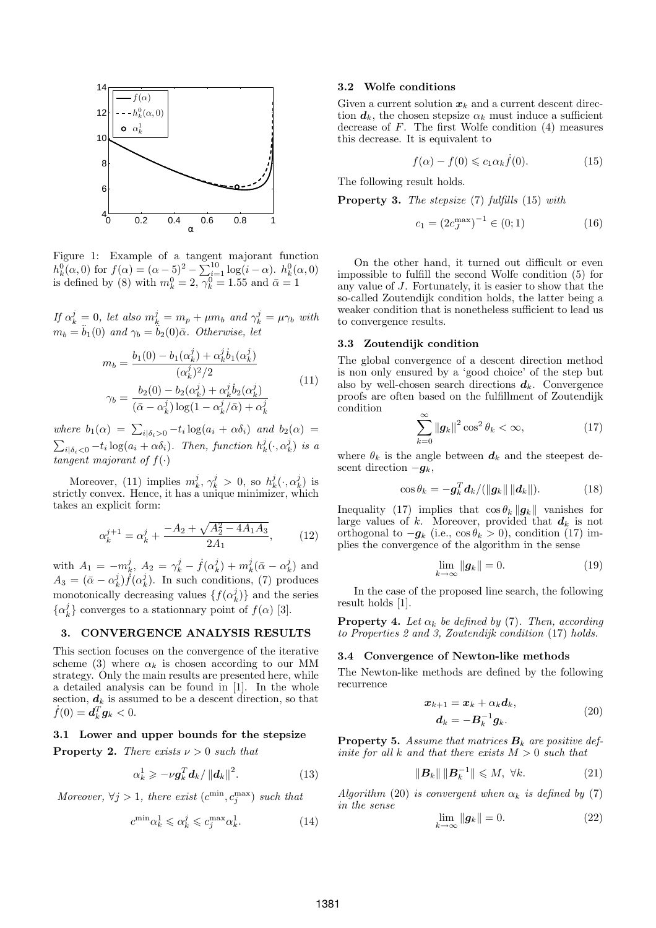

Figure 1: Example of a tangent majorant function  $h_k^0(\alpha,0)$  for  $f(\alpha) = (\alpha - 5)^2 - \sum_{i=1}^{10} \log(i - \alpha)$ .  $h_k^0(\alpha,0)$ is defined by (8) with  $m_k^0 = 2$ ,  $\overline{\gamma_k^0} = 1.55$  and  $\overline{\alpha} = 1$ 

If  $\alpha_k^j = 0$ , let also  $m_k^j = m_p + \mu m_b$  and  $\gamma_k^j = \mu \gamma_b$  with  $m_b = \ddot{b}_1(0)$  and  $\gamma_b = \ddot{b}_2(0)\bar{\alpha}$ . Otherwise, let

$$
m_b = \frac{b_1(0) - b_1(\alpha_k^j) + \alpha_k^j \dot{b}_1(\alpha_k^j)}{(\alpha_k^j)^2/2}
$$
  

$$
\gamma_b = \frac{b_2(0) - b_2(\alpha_k^j) + \alpha_k^j \dot{b}_2(\alpha_k^j)}{(\bar{\alpha} - \alpha_k^j) \log(1 - \alpha_k^j/\bar{\alpha}) + \alpha_k^j}
$$
(11)

where  $b_1(\alpha) = \sum_{i | \delta_i > 0} -t_i \log(a_i + \alpha \delta_i)$  and  $b_2(\alpha) =$  $\sum_{i|\delta_i < 0} -t_i \log(a_i + \alpha \delta_i)$ . Then, function  $h_k^j(\cdot, \alpha_k^j)$  is a tangent majorant of  $f(\cdot)$ 

Moreover, (11) implies  $m_k^j, \gamma_k^j > 0$ , so  $h_k^j(\cdot, \alpha_k^j)$  is strictly convex. Hence, it has a unique minimizer, which takes an explicit form:

$$
\alpha_k^{j+1} = \alpha_k^j + \frac{-A_2 + \sqrt{A_2^2 - 4A_1A_3}}{2A_1},\qquad(12)
$$

with  $A_1 = -m_k^j$ ,  $A_2 = \gamma_k^j - f(\alpha_k^j) + m_k^j(\bar{\alpha} - \alpha_k^j)$  and  $A_3 = (\bar{\alpha} - \alpha_k^j) f(\alpha_k^j)$ . In such conditions, (7) produces monotonically decreasing values  $\{f(\alpha_k^j)\}$  and the series  $\{\alpha_k^j\}$  converges to a stationnary point of  $f(\alpha)$  [3].

# 3. CONVERGENCE ANALYSIS RESULTS

This section focuses on the convergence of the iterative scheme (3) where  $\alpha_k$  is chosen according to our MM strategy. Only the main results are presented here, while a detailed analysis can be found in [1]. In the whole section,  $d_k$  is assumed to be a descent direction, so that  $\dot{f}(0) = d_k^T g_k < 0.$ 

### 3.1 Lower and upper bounds for the stepsize

**Property 2.** There exists  $\nu > 0$  such that

$$
\alpha_k^1 \geqslant -\nu \boldsymbol{g}_k^T \boldsymbol{d}_k / \left\| \boldsymbol{d}_k \right\|^2. \tag{13}
$$

Moreover,  $\forall j > 1$ , there exist  $(c^{\min}, c^{\max}_j)$  such that

$$
c^{\min}\alpha_k^1 \leqslant \alpha_k^j \leqslant c^{\max}_j \alpha_k^1. \tag{14}
$$

### 3.2 Wolfe conditions

Given a current solution  $x_k$  and a current descent direction  $d_k$ , the chosen stepsize  $\alpha_k$  must induce a sufficient decrease of  $F$ . The first Wolfe condition  $(4)$  measures this decrease. It is equivalent to

$$
f(\alpha) - f(0) \leqslant c_1 \alpha_k \dot{f}(0). \tag{15}
$$

The following result holds.

Property 3. The stepsize (7) fulfills (15) with

$$
c_1 = (2c_J^{\text{max}})^{-1} \in (0; 1)
$$
 (16)

On the other hand, it turned out difficult or even impossible to fulfill the second Wolfe condition (5) for any value of J. Fortunately, it is easier to show that the so-called Zoutendijk condition holds, the latter being a weaker condition that is nonetheless sufficient to lead us to convergence results.

### 3.3 Zoutendijk condition

The global convergence of a descent direction method is non only ensured by a 'good choice' of the step but also by well-chosen search directions  $d_k$ . Convergence proofs are often based on the fulfillment of Zoutendijk condition

$$
\sum_{k=0}^{\infty} \left\| \mathbf{g}_k \right\|^2 \cos^2 \theta_k < \infty,\tag{17}
$$

where  $\theta_k$  is the angle between  $\boldsymbol{d}_k$  and the steepest descent direction  $-g_k$ ,

$$
\cos \theta_k = -\boldsymbol{g}_k^T \boldsymbol{d}_k / (\|\boldsymbol{g}_k\| \|\boldsymbol{d}_k\|). \tag{18}
$$

Inequality (17) implies that  $\cos \theta_k ||g_k||$  vanishes for large values of k. Moreover, provided that  $d_k$  is not orthogonal to  $-g_k$  (i.e.,  $\cos \theta_k > 0$ ), condition (17) implies the convergence of the algorithm in the sense

$$
\lim_{k \to \infty} \|g_k\| = 0. \tag{19}
$$

In the case of the proposed line search, the following result holds [1].

**Property 4.** Let  $\alpha_k$  be defined by (7). Then, according to Properties 2 and 3, Zoutendijk condition (17) holds.

# 3.4 Convergence of Newton-like methods

The Newton-like methods are defined by the following recurrence

$$
\begin{aligned} \boldsymbol{x}_{k+1} &= \boldsymbol{x}_k + \alpha_k \boldsymbol{d}_k, \\ \boldsymbol{d}_k &= -\boldsymbol{B}_k^{-1} \boldsymbol{g}_k. \end{aligned} \tag{20}
$$

**Property 5.** Assume that matrices  $B_k$  are positive definite for all  $k$  and that there exists  $M > 0$  such that

$$
\|\boldsymbol{B}_k\| \|\boldsymbol{B}_k^{-1}\| \leqslant M, \ \forall k. \tag{21}
$$

Algorithm (20) is convergent when  $\alpha_k$  is defined by (7) in the sense

$$
\lim_{k \to \infty} \|g_k\| = 0. \tag{22}
$$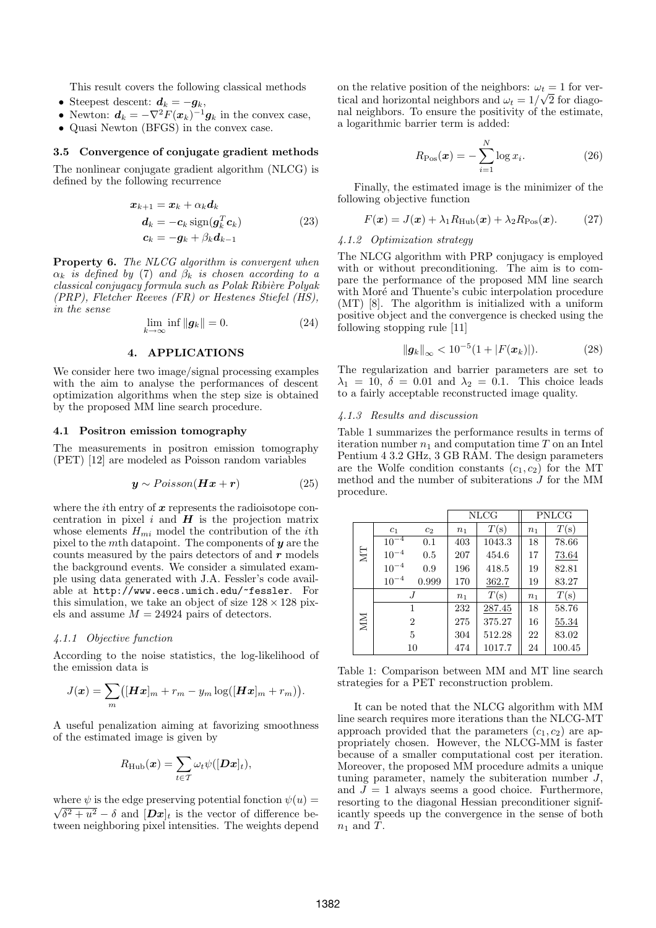This result covers the following classical methods

- Steepest descent:  $d_k = -g_k$ ,
- Newton:  $\mathbf{d}_k = -\nabla^2 F(\mathbf{x}_k)^{-1} \mathbf{g}_k$  in the convex case,
- Quasi Newton (BFGS) in the convex case.

### 3.5 Convergence of conjugate gradient methods

The nonlinear conjugate gradient algorithm (NLCG) is defined by the following recurrence

$$
x_{k+1} = x_k + \alpha_k d_k
$$
  
\n
$$
d_k = -c_k \operatorname{sign}(g_k^T c_k)
$$
  
\n
$$
c_k = -g_k + \beta_k d_{k-1}
$$
\n(23)

**Property 6.** The NLCG algorithm is convergent when  $\alpha_k$  is defined by (7) and  $\beta_k$  is chosen according to a classical conjugacy formula such as Polak Ribière Polyak (PRP), Fletcher Reeves (FR) or Hestenes Stiefel (HS), in the sense

$$
\lim_{k \to \infty} \inf \|g_k\| = 0. \tag{24}
$$

#### 4. APPLICATIONS

We consider here two image/signal processing examples with the aim to analyse the performances of descent optimization algorithms when the step size is obtained by the proposed MM line search procedure.

#### 4.1 Positron emission tomography

The measurements in positron emission tomography (PET) [12] are modeled as Poisson random variables

$$
\mathbf{y} \sim Poisson(\mathbf{H}\mathbf{x} + \mathbf{r}) \tag{25}
$$

where the *i*th entry of  $x$  represents the radioisotope concentration in pixel  $i$  and  $H$  is the projection matrix whose elements  $H_{mi}$  model the contribution of the *i*th pixel to the mth datapoint. The components of  $y$  are the counts measured by the pairs detectors of and  $r$  models the background events. We consider a simulated example using data generated with J.A. Fessler's code available at http://www.eecs.umich.edu/~fessler. For this simulation, we take an object of size  $128 \times 128$  pixels and assume  $M = 24924$  pairs of detectors.

#### 4.1.1 Objective function

According to the noise statistics, the log-likelihood of the emission data is

$$
J(\boldsymbol{x}) = \sum_{m} ([\boldsymbol{H}\boldsymbol{x}]_m + r_m - y_m \log([\boldsymbol{H}\boldsymbol{x}]_m + r_m)).
$$

A useful penalization aiming at favorizing smoothness of the estimated image is given by

$$
R_{\rm{Hub}}(\boldsymbol{x}) = \sum_{t \in \mathcal{T}} \omega_t \psi([\boldsymbol{D} \boldsymbol{x}]_t),
$$

where  $\psi$  is the edge preserving potential fonction  $\psi(u) =$  $\sqrt{\delta^2 + u^2} - \delta$  and  $[\mathbf{Dx}]_t$  is the vector of difference between neighboring pixel intensities. The weights depend on the relative position of the neighbors:  $\omega_t = 1$  for vertical and horizontal neighbors and  $\omega_t = 1/\sqrt{2}$  for diagonal neighbors. To ensure the positivity of the estimate, a logarithmic barrier term is added:

$$
R_{\text{Pos}}(\boldsymbol{x}) = -\sum_{i=1}^{N} \log x_i.
$$
 (26)

Finally, the estimated image is the minimizer of the following objective function

$$
F(\mathbf{x}) = J(\mathbf{x}) + \lambda_1 R_{\text{Hub}}(\mathbf{x}) + \lambda_2 R_{\text{Pos}}(\mathbf{x}). \tag{27}
$$

# 4.1.2 Optimization strategy

The NLCG algorithm with PRP conjugacy is employed with or without preconditioning. The aim is to compare the performance of the proposed MM line search with Moré and Thuente's cubic interpolation procedure (MT) [8]. The algorithm is initialized with a uniform positive object and the convergence is checked using the following stopping rule [11]

$$
\|\mathbf{g}_k\|_{\infty} < 10^{-5} (1 + |F(\mathbf{x}_k)|). \tag{28}
$$

The regularization and barrier parameters are set to  $\lambda_1 = 10, \delta = 0.01$  and  $\lambda_2 = 0.1$ . This choice leads to a fairly acceptable reconstructed image quality.

# 4.1.3 Results and discussion

Table 1 summarizes the performance results in terms of iteration number  $n_1$  and computation time T on an Intel Pentium 4 3.2 GHz, 3 GB RAM. The design parameters are the Wolfe condition constants  $(c_1, c_2)$  for the MT method and the number of subiterations J for the MM procedure.

|    |                | <b>NLCG</b> |                | PNLCG  |       |        |
|----|----------------|-------------|----------------|--------|-------|--------|
| NT | c <sub>1</sub> | $c_2$       | n <sub>1</sub> | T(s)   | $n_1$ | T(s)   |
|    | $10^{-4}$      | 0.1         | 403            | 1043.3 | 18    | 78.66  |
|    | $10^{-4}$      | 0.5         | 207            | 454.6  | 17    | 73.64  |
|    | $10^{-4}$      | 0.9         | 196            | 418.5  | 19    | 82.81  |
|    | $10^{-4}$      | 0.999       | 170            | 362.7  | 19    | 83.27  |
| NЫ | J              |             | n <sub>1</sub> | T(s)   | $n_1$ | T(s)   |
|    | 1              |             | 232            | 287.45 | 18    | 58.76  |
|    | $\overline{2}$ |             | 275            | 375.27 | 16    | 55.34  |
|    | 5              |             | 304            | 512.28 | 22    | 83.02  |
|    | 10             |             | 474            | 1017.7 | 24    | 100.45 |

Table 1: Comparison between MM and MT line search strategies for a PET reconstruction problem.

It can be noted that the NLCG algorithm with MM line search requires more iterations than the NLCG-MT approach provided that the parameters  $(c_1, c_2)$  are appropriately chosen. However, the NLCG-MM is faster because of a smaller computational cost per iteration. Moreover, the proposed MM procedure admits a unique tuning parameter, namely the subiteration number  $J$ , and  $J = 1$  always seems a good choice. Furthermore, resorting to the diagonal Hessian preconditioner significantly speeds up the convergence in the sense of both  $n_1$  and T.